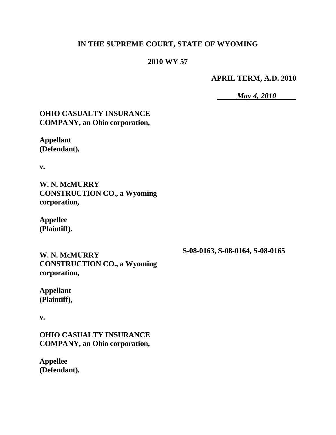# **IN THE SUPREME COURT, STATE OF WYOMING**

# **2010 WY 57**

# **APRIL TERM, A.D. 2010**

*May 4, 2010*

| <b>OHIO CASUALTY INSURANCE</b><br><b>COMPANY</b> , an Ohio corporation, |                                 |
|-------------------------------------------------------------------------|---------------------------------|
| <b>Appellant</b><br>(Defendant),                                        |                                 |
| $V_{\bullet}$                                                           |                                 |
| W. N. McMURRY<br><b>CONSTRUCTION CO., a Wyoming</b><br>corporation,     |                                 |
| <b>Appellee</b><br>(Plaintiff).                                         |                                 |
| W. N. McMURRY<br><b>CONSTRUCTION CO., a Wyoming</b><br>corporation,     | S-08-0163, S-08-0164, S-08-0165 |
| <b>Appellant</b><br>(Plaintiff),                                        |                                 |
| V.                                                                      |                                 |
| <b>OHIO CASUALTY INSURANCE</b><br><b>COMPANY</b> , an Ohio corporation, |                                 |
| <b>Appellee</b><br>(Defendant).                                         |                                 |
|                                                                         |                                 |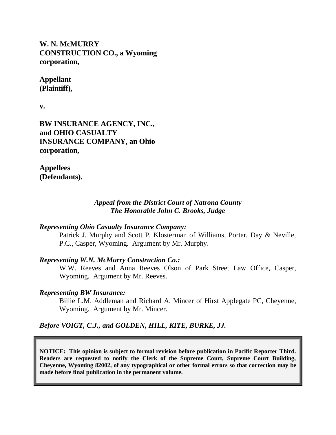# **W. N. McMURRY CONSTRUCTION CO., a Wyoming corporation,**

**Appellant (Plaintiff),**

**v.**

**BW INSURANCE AGENCY, INC., and OHIO CASUALTY INSURANCE COMPANY, an Ohio corporation,**

**Appellees (Defendants).**

#### *Appeal from the District Court of Natrona County The Honorable John C. Brooks, Judge*

#### *Representing Ohio Casualty Insurance Company:*

Patrick J. Murphy and Scott P. Klosterman of Williams, Porter, Day & Neville, P.C., Casper, Wyoming. Argument by Mr. Murphy.

#### *Representing W.N. McMurry Construction Co.:*

W.W. Reeves and Anna Reeves Olson of Park Street Law Office, Casper, Wyoming. Argument by Mr. Reeves.

#### *Representing BW Insurance:*

Billie L.M. Addleman and Richard A. Mincer of Hirst Applegate PC, Cheyenne, Wyoming. Argument by Mr. Mincer.

#### *Before VOIGT, C.J., and GOLDEN, HILL, KITE, BURKE, JJ.*

**NOTICE: This opinion is subject to formal revision before publication in Pacific Reporter Third. Readers are requested to notify the Clerk of the Supreme Court, Supreme Court Building, Cheyenne, Wyoming 82002, of any typographical or other formal errors so that correction may be made before final publication in the permanent volume.**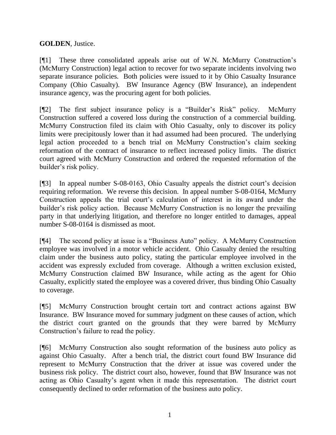# **GOLDEN**, Justice.

[¶1] These three consolidated appeals arise out of W.N. McMurry Construction's (McMurry Construction) legal action to recover for two separate incidents involving two separate insurance policies. Both policies were issued to it by Ohio Casualty Insurance Company (Ohio Casualty). BW Insurance Agency (BW Insurance), an independent insurance agency, was the procuring agent for both policies.

[¶2] The first subject insurance policy is a "Builder's Risk" policy. McMurry Construction suffered a covered loss during the construction of a commercial building. McMurry Construction filed its claim with Ohio Casualty, only to discover its policy limits were precipitously lower than it had assumed had been procured. The underlying legal action proceeded to a bench trial on McMurry Construction's claim seeking reformation of the contract of insurance to reflect increased policy limits. The district court agreed with McMurry Construction and ordered the requested reformation of the builder's risk policy.

[¶3] In appeal number S-08-0163, Ohio Casualty appeals the district court's decision requiring reformation. We reverse this decision. In appeal number S-08-0164, McMurry Construction appeals the trial court's calculation of interest in its award under the builder's risk policy action. Because McMurry Construction is no longer the prevailing party in that underlying litigation, and therefore no longer entitled to damages, appeal number S-08-0164 is dismissed as moot.

[¶4] The second policy at issue is a "Business Auto" policy. A McMurry Construction employee was involved in a motor vehicle accident. Ohio Casualty denied the resulting claim under the business auto policy, stating the particular employee involved in the accident was expressly excluded from coverage. Although a written exclusion existed, McMurry Construction claimed BW Insurance, while acting as the agent for Ohio Casualty, explicitly stated the employee was a covered driver, thus binding Ohio Casualty to coverage.

[¶5] McMurry Construction brought certain tort and contract actions against BW Insurance. BW Insurance moved for summary judgment on these causes of action, which the district court granted on the grounds that they were barred by McMurry Construction's failure to read the policy.

[¶6] McMurry Construction also sought reformation of the business auto policy as against Ohio Casualty. After a bench trial, the district court found BW Insurance did represent to McMurry Construction that the driver at issue was covered under the business risk policy. The district court also, however, found that BW Insurance was not acting as Ohio Casualty's agent when it made this representation. The district court consequently declined to order reformation of the business auto policy.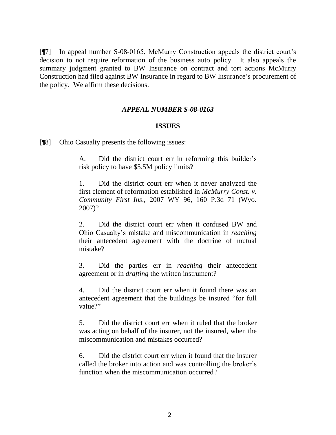[¶7] In appeal number S-08-0165, McMurry Construction appeals the district court's decision to not require reformation of the business auto policy. It also appeals the summary judgment granted to BW Insurance on contract and tort actions McMurry Construction had filed against BW Insurance in regard to BW Insurance's procurement of the policy. We affirm these decisions.

#### *APPEAL NUMBER S-08-0163*

#### **ISSUES**

[¶8] Ohio Casualty presents the following issues:

A. Did the district court err in reforming this builder's risk policy to have \$5.5M policy limits?

1. Did the district court err when it never analyzed the first element of reformation established in *McMurry Const. v. Community First Ins*., 2007 WY 96, 160 P.3d 71 (Wyo. 2007)?

2. Did the district court err when it confused BW and Ohio Casualty's mistake and miscommunication in *reaching*  their antecedent agreement with the doctrine of mutual mistake?

3. Did the parties err in *reaching* their antecedent agreement or in *drafting* the written instrument?

4. Did the district court err when it found there was an antecedent agreement that the buildings be insured "for full value?"

5. Did the district court err when it ruled that the broker was acting on behalf of the insurer, not the insured, when the miscommunication and mistakes occurred?

6. Did the district court err when it found that the insurer called the broker into action and was controlling the broker's function when the miscommunication occurred?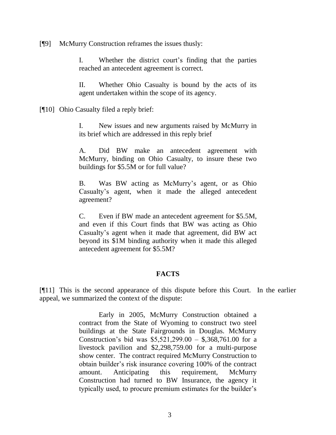[¶9] McMurry Construction reframes the issues thusly:

I. Whether the district court's finding that the parties reached an antecedent agreement is correct.

II. Whether Ohio Casualty is bound by the acts of its agent undertaken within the scope of its agency.

[¶10] Ohio Casualty filed a reply brief:

I. New issues and new arguments raised by McMurry in its brief which are addressed in this reply brief

A. Did BW make an antecedent agreement with McMurry, binding on Ohio Casualty, to insure these two buildings for \$5.5M or for full value?

B. Was BW acting as McMurry's agent, or as Ohio Casualty's agent, when it made the alleged antecedent agreement?

C. Even if BW made an antecedent agreement for \$5.5M, and even if this Court finds that BW was acting as Ohio Casualty's agent when it made that agreement, did BW act beyond its \$1M binding authority when it made this alleged antecedent agreement for \$5.5M?

#### **FACTS**

[¶11] This is the second appearance of this dispute before this Court. In the earlier appeal, we summarized the context of the dispute:

> Early in 2005, McMurry Construction obtained a contract from the State of Wyoming to construct two steel buildings at the State Fairgrounds in Douglas. McMurry Construction's bid was \$5,521,299.00 – \$,368,761.00 for a livestock pavilion and \$2,298,759.00 for a multi-purpose show center. The contract required McMurry Construction to obtain builder's risk insurance covering 100% of the contract amount. Anticipating this requirement, McMurry Construction had turned to BW Insurance, the agency it typically used, to procure premium estimates for the builder's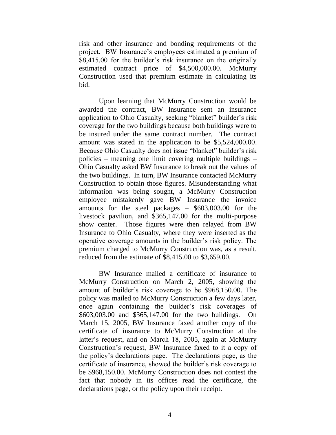risk and other insurance and bonding requirements of the project. BW Insurance's employees estimated a premium of \$8,415.00 for the builder's risk insurance on the originally estimated contract price of \$4,500,000.00. McMurry Construction used that premium estimate in calculating its bid.

Upon learning that McMurry Construction would be awarded the contract, BW Insurance sent an insurance application to Ohio Casualty, seeking "blanket" builder's risk coverage for the two buildings because both buildings were to be insured under the same contract number. The contract amount was stated in the application to be \$5,524,000.00. Because Ohio Casualty does not issue "blanket" builder's risk policies – meaning one limit covering multiple buildings – Ohio Casualty asked BW Insurance to break out the values of the two buildings. In turn, BW Insurance contacted McMurry Construction to obtain those figures. Misunderstanding what information was being sought, a McMurry Construction employee mistakenly gave BW Insurance the invoice amounts for the steel packages – \$603,003.00 for the livestock pavilion, and \$365,147.00 for the multi-purpose show center. Those figures were then relayed from BW Insurance to Ohio Casualty, where they were inserted as the operative coverage amounts in the builder's risk policy. The premium charged to McMurry Construction was, as a result, reduced from the estimate of \$8,415.00 to \$3,659.00.

BW Insurance mailed a certificate of insurance to McMurry Construction on March 2, 2005, showing the amount of builder's risk coverage to be \$968,150.00. The policy was mailed to McMurry Construction a few days later, once again containing the builder's risk coverages of \$603,003.00 and \$365,147.00 for the two buildings. On March 15, 2005, BW Insurance faxed another copy of the certificate of insurance to McMurry Construction at the latter's request, and on March 18, 2005, again at McMurry Construction's request, BW Insurance faxed to it a copy of the policy's declarations page. The declarations page, as the certificate of insurance, showed the builder's risk coverage to be \$968,150.00. McMurry Construction does not contest the fact that nobody in its offices read the certificate, the declarations page, or the policy upon their receipt.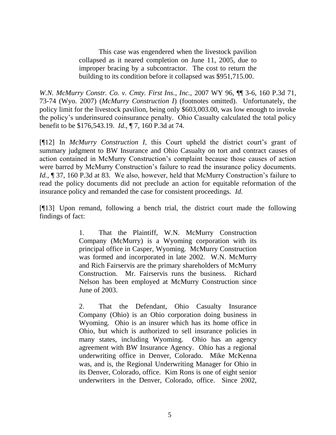This case was engendered when the livestock pavilion collapsed as it neared completion on June 11, 2005, due to improper bracing by a subcontractor. The cost to return the building to its condition before it collapsed was \$951,715.00.

*W.N. McMurry Constr. Co. v. Cmty. First Ins., Inc.,* 2007 WY 96, ¶¶ 3-6, 160 P.3d 71, 73-74 (Wyo. 2007) (*McMurry Construction I*) (footnotes omitted). Unfortunately, the policy limit for the livestock pavilion, being only \$603,003.00, was low enough to invoke the policy's underinsured coinsurance penalty. Ohio Casualty calculated the total policy benefit to be \$176,543.19. *Id*., ¶ 7, 160 P.3d at 74.

[¶12] In *McMurry Construction I*, this Court upheld the district court's grant of summary judgment to BW Insurance and Ohio Casualty on tort and contract causes of action contained in McMurry Construction's complaint because those causes of action were barred by McMurry Construction's failure to read the insurance policy documents. *Id.*, **[37, 160 P.3d at 83.** We also, however, held that McMurry Construction's failure to read the policy documents did not preclude an action for equitable reformation of the insurance policy and remanded the case for consistent proceedings. *Id.*

[¶13] Upon remand, following a bench trial, the district court made the following findings of fact:

> 1. That the Plaintiff, W.N. McMurry Construction Company (McMurry) is a Wyoming corporation with its principal office in Casper, Wyoming. McMurry Construction was formed and incorporated in late 2002. W.N. McMurry and Rich Fairservis are the primary shareholders of McMurry Construction. Mr. Fairservis runs the business. Richard Nelson has been employed at McMurry Construction since June of 2003.

> 2. That the Defendant, Ohio Casualty Insurance Company (Ohio) is an Ohio corporation doing business in Wyoming. Ohio is an insurer which has its home office in Ohio, but which is authorized to sell insurance policies in many states, including Wyoming. Ohio has an agency agreement with BW Insurance Agency. Ohio has a regional underwriting office in Denver, Colorado. Mike McKenna was, and is, the Regional Underwriting Manager for Ohio in its Denver, Colorado, office. Kim Rons is one of eight senior underwriters in the Denver, Colorado, office. Since 2002,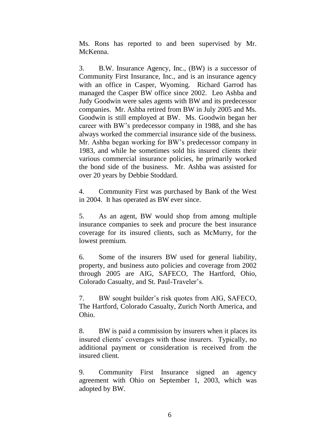Ms. Rons has reported to and been supervised by Mr. McKenna.

3. B.W. Insurance Agency, Inc., (BW) is a successor of Community First Insurance, Inc., and is an insurance agency with an office in Casper, Wyoming. Richard Garrod has managed the Casper BW office since 2002. Leo Ashba and Judy Goodwin were sales agents with BW and its predecessor companies. Mr. Ashba retired from BW in July 2005 and Ms. Goodwin is still employed at BW. Ms. Goodwin began her career with BW's predecessor company in 1988, and she has always worked the commercial insurance side of the business. Mr. Ashba began working for BW's predecessor company in 1983, and while he sometimes sold his insured clients their various commercial insurance policies, he primarily worked the bond side of the business. Mr. Ashba was assisted for over 20 years by Debbie Stoddard.

4. Community First was purchased by Bank of the West in 2004. It has operated as BW ever since.

5. As an agent, BW would shop from among multiple insurance companies to seek and procure the best insurance coverage for its insured clients, such as McMurry, for the lowest premium.

6. Some of the insurers BW used for general liability, property, and business auto policies and coverage from 2002 through 2005 are AIG, SAFECO, The Hartford, Ohio, Colorado Casualty, and St. Paul-Traveler's.

7. BW sought builder's risk quotes from AIG, SAFECO, The Hartford, Colorado Casualty, Zurich North America, and Ohio.

8. BW is paid a commission by insurers when it places its insured clients' coverages with those insurers. Typically, no additional payment or consideration is received from the insured client.

9. Community First Insurance signed an agency agreement with Ohio on September 1, 2003, which was adopted by BW.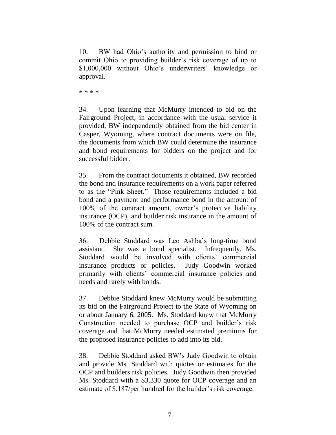10. BW had Ohio's authority and permission to bind or commit Ohio to providing builder's risk coverage of up to \$1,000,000 without Ohio's underwriters' knowledge or approval.

\* \* \* \*

34. Upon learning that McMurry intended to bid on the Fairground Project, in accordance with the usual service it provided, BW independently obtained from the bid center in Casper, Wyoming, where contract documents were on file, the documents from which BW could determine the insurance and bond requirements for bidders on the project and for successful bidder.

35. From the contract documents it obtained, BW recorded the bond and insurance requirements on a work paper referred to as the "Pink Sheet." Those requirements included a bid bond and a payment and performance bond in the amount of 100% of the contract amount, owner's protective liability insurance (OCP), and builder risk insurance in the amount of 100% of the contract sum.

36. Debbie Stoddard was Leo Ashba's long-time bond assistant. She was a bond specialist. Infrequently, Ms. Stoddard would be involved with clients' commercial insurance products or policies. Judy Goodwin worked primarily with clients' commercial insurance policies and needs and rarely with bonds.

37. Debbie Stoddard knew McMurry would be submitting its bid on the Fairground Project to the State of Wyoming on or about January 6, 2005. Ms. Stoddard knew that McMurry Construction needed to purchase OCP and builder's risk coverage and that McMurry needed estimated premiums for the proposed insurance policies to add into its bid.

38. Debbie Stoddard asked BW's Judy Goodwin to obtain and provide Ms. Stoddard with quotes or estimates for the OCP and builders risk policies. Judy Goodwin then provided Ms. Stoddard with a \$3,330 quote for OCP coverage and an estimate of \$.187/per hundred for the builder's risk coverage.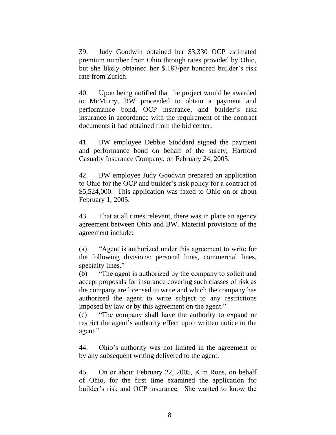39. Judy Goodwin obtained her \$3,330 OCP estimated premium number from Ohio through rates provided by Ohio, but she likely obtained her \$.187/per hundred builder's risk rate from Zurich.

40. Upon being notified that the project would be awarded to McMurry, BW proceeded to obtain a payment and performance bond, OCP insurance, and builder's risk insurance in accordance with the requirement of the contract documents it had obtained from the bid center.

41. BW employee Debbie Stoddard signed the payment and performance bond on behalf of the surety, Hartford Casualty Insurance Company, on February 24, 2005.

42. BW employee Judy Goodwin prepared an application to Ohio for the OCP and builder's risk policy for a contract of \$5,524,000. This application was faxed to Ohio on or about February 1, 2005.

43. That at all times relevant, there was in place an agency agreement between Ohio and BW. Material provisions of the agreement include:

(a) "Agent is authorized under this agreement to write for the following divisions: personal lines, commercial lines, specialty lines."

(b) "The agent is authorized by the company to solicit and accept proposals for insurance covering such classes of risk as the company are licensed to write and which the company has authorized the agent to write subject to any restrictions imposed by law or by this agreement on the agent."

(c) "The company shall have the authority to expand or restrict the agent's authority effect upon written notice to the agent."

44. Ohio's authority was not limited in the agreement or by any subsequent writing delivered to the agent.

45. On or about February 22, 2005, Kim Rons, on behalf of Ohio, for the first time examined the application for builder's risk and OCP insurance. She wanted to know the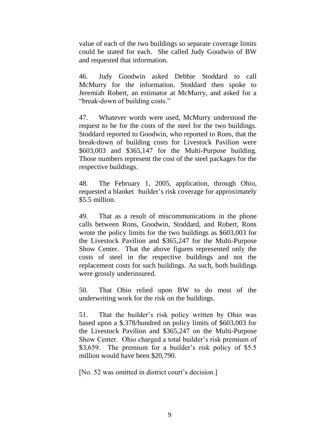value of each of the two buildings so separate coverage limits could be stated for each. She called Judy Goodwin of BW and requested that information.

46. Judy Goodwin asked Debbie Stoddard to call McMurry for the information. Stoddard then spoke to Jeremiah Robert, an estimator at McMurry, and asked for a "break-down of building costs."

47. Whatever words were used, McMurry understood the request to be for the costs of the steel for the two buildings. Stoddard reported to Goodwin, who reported to Rons, that the break-down of building costs for Livestock Pavilion were \$603,003 and \$365,147 for the Multi-Purpose building. Those numbers represent the cost of the steel packages for the respective buildings.

48. The February 1, 2005, application, through Ohio, requested a blanket builder's risk coverage for approximately \$5.5 million.

49. That as a result of miscommunications in the phone calls between Rons, Goodwin, Stoddard, and Robert, Rons wrote the policy limits for the two buildings as \$603,003 for the Livestock Pavilion and \$365,247 for the Multi-Purpose Show Center. That the above figures represented only the costs of steel in the respective buildings and not the replacement costs for such buildings. As such, both buildings were grossly underinsured.

50. That Ohio relied upon BW to do most of the underwriting work for the risk on the buildings.

51. That the builder's risk policy written by Ohio was based upon a \$.378/hundred on policy limits of \$603,003 for the Livestock Pavilion and \$365,247 on the Multi-Purpose Show Center. Ohio charged a total builder's risk premium of \$3,659. The premium for a builder's risk policy of \$5.5 million would have been \$20,790.

[No. 52 was omitted in district court's decision.]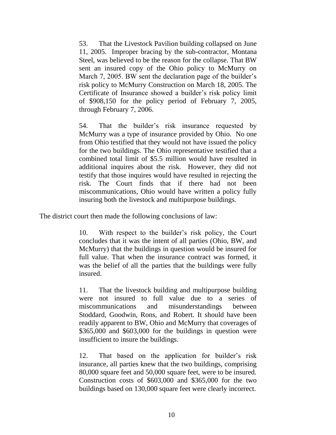53. That the Livestock Pavilion building collapsed on June 11, 2005. Improper bracing by the sub-contractor, Montana Steel, was believed to be the reason for the collapse. That BW sent an insured copy of the Ohio policy to McMurry on March 7, 2005. BW sent the declaration page of the builder's risk policy to McMurry Construction on March 18, 2005. The Certificate of Insurance showed a builder's risk policy limit of \$908,150 for the policy period of February 7, 2005, through February 7, 2006.

54. That the builder's risk insurance requested by McMurry was a type of insurance provided by Ohio. No one from Ohio testified that they would not have issued the policy for the two buildings. The Ohio representative testified that a combined total limit of \$5.5 million would have resulted in additional inquires about the risk. However, they did not testify that those inquires would have resulted in rejecting the risk. The Court finds that if there had not been miscommunications, Ohio would have written a policy fully insuring both the livestock and multipurpose buildings.

The district court then made the following conclusions of law:

10. With respect to the builder's risk policy, the Court concludes that it was the intent of all parties (Ohio, BW, and McMurry) that the buildings in question would be insured for full value. That when the insurance contract was formed, it was the belief of all the parties that the buildings were fully insured.

11. That the livestock building and multipurpose building were not insured to full value due to a series of miscommunications and misunderstandings between Stoddard, Goodwin, Rons, and Robert. It should have been readily apparent to BW, Ohio and McMurry that coverages of \$365,000 and \$603,000 for the buildings in question were insufficient to insure the buildings.

12. That based on the application for builder's risk insurance, all parties knew that the two buildings, comprising 80,000 square feet and 50,000 square feet, were to be insured. Construction costs of \$603,000 and \$365,000 for the two buildings based on 130,000 square feet were clearly incorrect.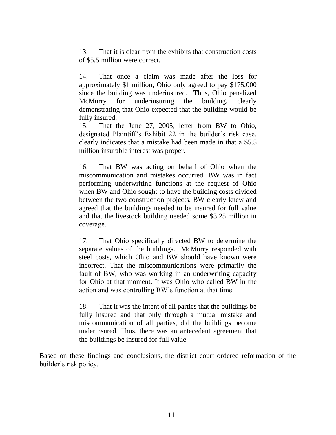13. That it is clear from the exhibits that construction costs of \$5.5 million were correct.

14. That once a claim was made after the loss for approximately \$1 million, Ohio only agreed to pay \$175,000 since the building was underinsured. Thus, Ohio penalized McMurry for underinsuring the building, clearly demonstrating that Ohio expected that the building would be fully insured.

15. That the June 27, 2005, letter from BW to Ohio, designated Plaintiff's Exhibit 22 in the builder's risk case, clearly indicates that a mistake had been made in that a \$5.5 million insurable interest was proper.

16. That BW was acting on behalf of Ohio when the miscommunication and mistakes occurred. BW was in fact performing underwriting functions at the request of Ohio when BW and Ohio sought to have the building costs divided between the two construction projects. BW clearly knew and agreed that the buildings needed to be insured for full value and that the livestock building needed some \$3.25 million in coverage.

17. That Ohio specifically directed BW to determine the separate values of the buildings. McMurry responded with steel costs, which Ohio and BW should have known were incorrect. That the miscommunications were primarily the fault of BW, who was working in an underwriting capacity for Ohio at that moment. It was Ohio who called BW in the action and was controlling BW's function at that time.

18. That it was the intent of all parties that the buildings be fully insured and that only through a mutual mistake and miscommunication of all parties, did the buildings become underinsured. Thus, there was an antecedent agreement that the buildings be insured for full value.

Based on these findings and conclusions, the district court ordered reformation of the builder's risk policy.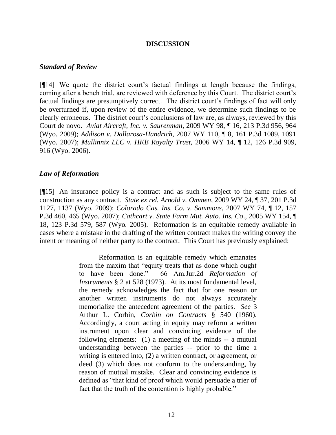#### **DISCUSSION**

#### *Standard of Review*

[¶14] We quote the district court's factual findings at length because the findings, coming after a bench trial, are reviewed with deference by this Court. The district court's factual findings are presumptively correct. The district court's findings of fact will only be overturned if, upon review of the entire evidence, we determine such findings to be clearly erroneous. The district court's conclusions of law are, as always, reviewed by this Court de novo. *Aviat Aircraft, Inc. v. Saurenman*, 2009 WY 98, ¶ 16, 213 P.3d 956, 964 (Wyo. 2009); *Addison v. Dallarosa-Handrich*, 2007 WY 110, ¶ 8, 161 P.3d 1089, 1091 (Wyo. 2007); *Mullinnix LLC v. HKB Royalty Trust,* 2006 WY 14, ¶ 12, 126 P.3d 909, 916 (Wyo. 2006).

#### *Law of Reformation*

[¶15] An insurance policy is a contract and as such is subject to the same rules of construction as any contract. *State ex rel. Arnold v. Ommen*, 2009 WY 24, ¶ 37, 201 P.3d 1127, 1137 (Wyo. 2009); *Colorado Cas. Ins. Co. v. Sammons*, 2007 WY 74, ¶ 12, 157 P.3d 460, 465 (Wyo. 2007); *Cathcart v. State Farm Mut. Auto. Ins. Co*., 2005 WY 154, ¶ 18, 123 P.3d 579, 587 (Wyo. 2005). Reformation is an equitable remedy available in cases where a mistake in the drafting of the written contract makes the writing convey the intent or meaning of neither party to the contract. This Court has previously explained:

> Reformation is an equitable remedy which emanates from the maxim that "equity treats that as done which ought to have been done." 66 Am.Jur.2d *Reformation of Instruments* § 2 at 528 (1973). At its most fundamental level, the remedy acknowledges the fact that for one reason or another written instruments do not always accurately memorialize the antecedent agreement of the parties. *See* 3 Arthur L. Corbin, *Corbin on Contracts* § 540 (1960). Accordingly, a court acting in equity may reform a written instrument upon clear and convincing evidence of the following elements: (1) a meeting of the minds -- a mutual understanding between the parties -- prior to the time a writing is entered into, (2) a written contract, or agreement, or deed (3) which does not conform to the understanding, by reason of mutual mistake. Clear and convincing evidence is defined as "that kind of proof which would persuade a trier of fact that the truth of the contention is highly probable."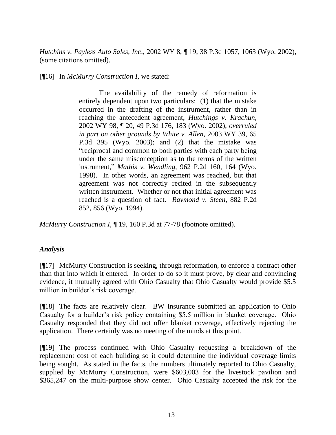*Hutchins v. Payless Auto Sales, Inc*., 2002 WY 8, ¶ 19, 38 P.3d 1057, 1063 (Wyo. 2002), (some citations omitted).

### [¶16] In *McMurry Construction I*, we stated:

The availability of the remedy of reformation is entirely dependent upon two particulars: (1) that the mistake occurred in the drafting of the instrument, rather than in reaching the antecedent agreement, *Hutchings v. Krachun*, 2002 WY 98, ¶ 20, 49 P.3d 176, 183 (Wyo. 2002), *overruled in part on other grounds by White v. Allen*, 2003 WY 39, 65 P.3d 395 (Wyo. 2003); and (2) that the mistake was "reciprocal and common to both parties with each party being under the same misconception as to the terms of the written instrument," *Mathis v. Wendling*, 962 P.2d 160, 164 (Wyo. 1998). In other words, an agreement was reached, but that agreement was not correctly recited in the subsequently written instrument. Whether or not that initial agreement was reached is a question of fact. *Raymond v. Steen*, 882 P.2d 852, 856 (Wyo. 1994).

*McMurry Construction I*, ¶ 19, 160 P.3d at 77-78 (footnote omitted).

# *Analysis*

[¶17] McMurry Construction is seeking, through reformation, to enforce a contract other than that into which it entered. In order to do so it must prove, by clear and convincing evidence, it mutually agreed with Ohio Casualty that Ohio Casualty would provide \$5.5 million in builder's risk coverage.

[¶18] The facts are relatively clear. BW Insurance submitted an application to Ohio Casualty for a builder's risk policy containing \$5.5 million in blanket coverage. Ohio Casualty responded that they did not offer blanket coverage, effectively rejecting the application. There certainly was no meeting of the minds at this point.

[¶19] The process continued with Ohio Casualty requesting a breakdown of the replacement cost of each building so it could determine the individual coverage limits being sought. As stated in the facts, the numbers ultimately reported to Ohio Casualty, supplied by McMurry Construction, were \$603,003 for the livestock pavilion and \$365,247 on the multi-purpose show center. Ohio Casualty accepted the risk for the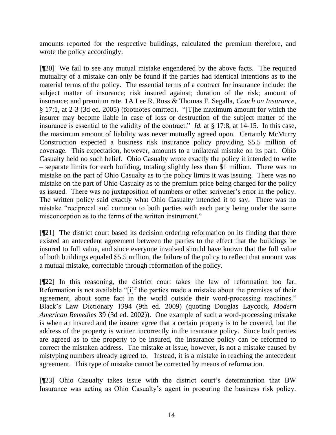amounts reported for the respective buildings, calculated the premium therefore, and wrote the policy accordingly.

[¶20] We fail to see any mutual mistake engendered by the above facts. The required mutuality of a mistake can only be found if the parties had identical intentions as to the material terms of the policy. The essential terms of a contract for insurance include: the subject matter of insurance; risk insured against; duration of the risk; amount of insurance; and premium rate. 1A Lee R. Russ & Thomas F. Segalla, *Couch on Insurance*, § 17:1, at 2-3 (3d ed. 2005) (footnotes omitted). "[T]he maximum amount for which the insurer may become liable in case of loss or destruction of the subject matter of the insurance is essential to the validity of the contract." *Id.* at § 17:8, at 14-15. In this case, the maximum amount of liability was never mutually agreed upon. Certainly McMurry Construction expected a business risk insurance policy providing \$5.5 million of coverage. This expectation, however, amounts to a unilateral mistake on its part. Ohio Casualty held no such belief. Ohio Casualty wrote exactly the policy it intended to write – separate limits for each building, totaling slightly less than \$1 million. There was no mistake on the part of Ohio Casualty as to the policy limits it was issuing. There was no mistake on the part of Ohio Casualty as to the premium price being charged for the policy as issued. There was no juxtaposition of numbers or other scrivener's error in the policy. The written policy said exactly what Ohio Casualty intended it to say. There was no mistake "reciprocal and common to both parties with each party being under the same misconception as to the terms of the written instrument."

[¶21] The district court based its decision ordering reformation on its finding that there existed an antecedent agreement between the parties to the effect that the buildings be insured to full value, and since everyone involved should have known that the full value of both buildings equaled \$5.5 million, the failure of the policy to reflect that amount was a mutual mistake, correctable through reformation of the policy.

[¶22] In this reasoning, the district court takes the law of reformation too far. Reformation is not available "[i]f the parties made a mistake about the premises of their agreement, about some fact in the world outside their word-processing machines." Black's Law Dictionary 1394 (9th ed. 2009) (quoting Douglas Laycock, *Modern American Remedies* 39 (3d ed. 2002)). One example of such a word-processing mistake is when an insured and the insurer agree that a certain property is to be covered, but the address of the property is written incorrectly in the insurance policy. Since both parties are agreed as to the property to be insured, the insurance policy can be reformed to correct the mistaken address. The mistake at issue, however, is not a mistake caused by mistyping numbers already agreed to. Instead, it is a mistake in reaching the antecedent agreement. This type of mistake cannot be corrected by means of reformation.

[¶23] Ohio Casualty takes issue with the district court's determination that BW Insurance was acting as Ohio Casualty's agent in procuring the business risk policy.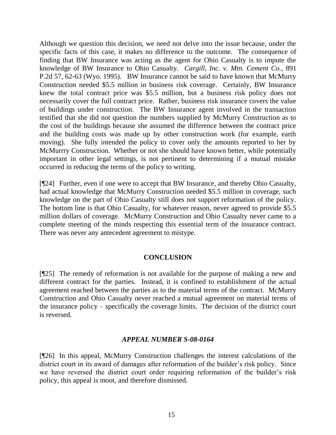Although we question this decision, we need not delve into the issue because, under the specific facts of this case, it makes no difference to the outcome. The consequence of finding that BW Insurance was acting as the agent for Ohio Casualty is to impute the knowledge of BW Insurance to Ohio Casualty. *Cargill, Inc. v. Mtn. Cement Co.*, 891 P.2d 57, 62-63 (Wyo. 1995). BW Insurance cannot be said to have known that McMurry Construction needed \$5.5 million in business risk coverage. Certainly, BW Insurance knew the total contract price was \$5.5 million, but a business risk policy does not necessarily cover the full contract price. Rather, business risk insurance covers the value of buildings under construction. The BW Insurance agent involved in the transaction testified that she did not question the numbers supplied by McMurry Construction as to the cost of the buildings because she assumed the difference between the contract price and the building costs was made up by other construction work (for example, earth moving). She fully intended the policy to cover only the amounts reported to her by McMurrry Construction. Whether or not she should have known better, while potentially important in other legal settings, is not pertinent to determining if a mutual mistake occurred in reducing the terms of the policy to writing.

[¶24] Further, even if one were to accept that BW Insurance, and thereby Ohio Casualty, had actual knowledge that McMurry Construction needed \$5.5 million in coverage, such knowledge on the part of Ohio Casualty still does not support reformation of the policy. The bottom line is that Ohio Casualty, for whatever reason, never agreed to provide \$5.5 million dollars of coverage. McMurry Construction and Ohio Casualty never came to a complete meeting of the minds respecting this essential term of the insurance contract. There was never any antecedent agreement to mistype.

#### **CONCLUSION**

[¶25] The remedy of reformation is not available for the purpose of making a new and different contract for the parties. Instead, it is confined to establishment of the actual agreement reached between the parties as to the material terms of the contract. McMurry Construction and Ohio Casualty never reached a mutual agreement on material terms of the insurance policy – specifically the coverage limits. The decision of the district court is reversed.

# *APPEAL NUMBER S-08-0164*

[¶26] In this appeal, McMurry Construction challenges the interest calculations of the district court in its award of damages after reformation of the builder's risk policy. Since we have reversed the district court order requiring reformation of the builder's risk policy, this appeal is moot, and therefore dismissed.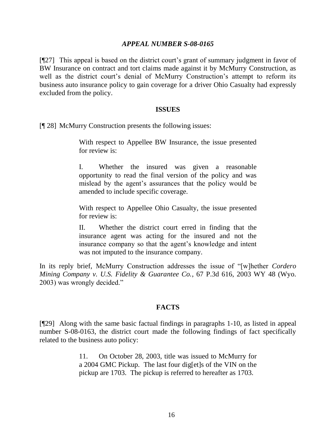#### *APPEAL NUMBER S-08-0165*

[¶27] This appeal is based on the district court's grant of summary judgment in favor of BW Insurance on contract and tort claims made against it by McMurry Construction, as well as the district court's denial of McMurry Construction's attempt to reform its business auto insurance policy to gain coverage for a driver Ohio Casualty had expressly excluded from the policy.

#### **ISSUES**

[¶ 28] McMurry Construction presents the following issues:

With respect to Appellee BW Insurance, the issue presented for review is:

I. Whether the insured was given a reasonable opportunity to read the final version of the policy and was mislead by the agent's assurances that the policy would be amended to include specific coverage.

With respect to Appellee Ohio Casualty, the issue presented for review is:

II. Whether the district court erred in finding that the insurance agent was acting for the insured and not the insurance company so that the agent's knowledge and intent was not imputed to the insurance company.

In its reply brief, McMurry Construction addresses the issue of "[w]hether *Cordero Mining Company v. U.S. Fidelity & Guarantee Co.*, 67 P.3d 616, 2003 WY 48 (Wyo. 2003) was wrongly decided."

# **FACTS**

[¶29] Along with the same basic factual findings in paragraphs 1-10, as listed in appeal number S-08-0163, the district court made the following findings of fact specifically related to the business auto policy:

> 11. On October 28, 2003, title was issued to McMurry for a 2004 GMC Pickup. The last four dig[et]s of the VIN on the pickup are 1703. The pickup is referred to hereafter as 1703.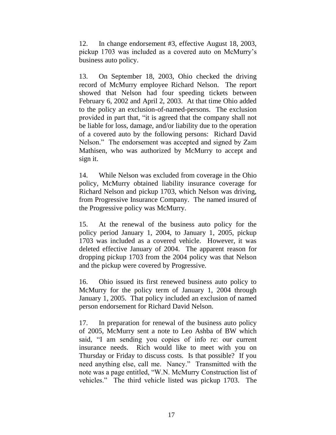12. In change endorsement #3, effective August 18, 2003, pickup 1703 was included as a covered auto on McMurry's business auto policy.

13. On September 18, 2003, Ohio checked the driving record of McMurry employee Richard Nelson. The report showed that Nelson had four speeding tickets between February 6, 2002 and April 2, 2003. At that time Ohio added to the policy an exclusion-of-named-persons. The exclusion provided in part that, "it is agreed that the company shall not be liable for loss, damage, and/or liability due to the operation of a covered auto by the following persons: Richard David Nelson." The endorsement was accepted and signed by Zam Mathisen, who was authorized by McMurry to accept and sign it.

14. While Nelson was excluded from coverage in the Ohio policy, McMurry obtained liability insurance coverage for Richard Nelson and pickup 1703, which Nelson was driving, from Progressive Insurance Company. The named insured of the Progressive policy was McMurry.

15. At the renewal of the business auto policy for the policy period January 1, 2004, to January 1, 2005, pickup 1703 was included as a covered vehicle. However, it was deleted effective January of 2004. The apparent reason for dropping pickup 1703 from the 2004 policy was that Nelson and the pickup were covered by Progressive.

16. Ohio issued its first renewed business auto policy to McMurry for the policy term of January 1, 2004 through January 1, 2005. That policy included an exclusion of named person endorsement for Richard David Nelson.

17. In preparation for renewal of the business auto policy of 2005, McMurry sent a note to Leo Ashba of BW which said, "I am sending you copies of info re: our current insurance needs. Rich would like to meet with you on Thursday or Friday to discuss costs. Is that possible? If you need anything else, call me. Nancy." Transmitted with the note was a page entitled, "W.N. McMurry Construction list of vehicles." The third vehicle listed was pickup 1703. The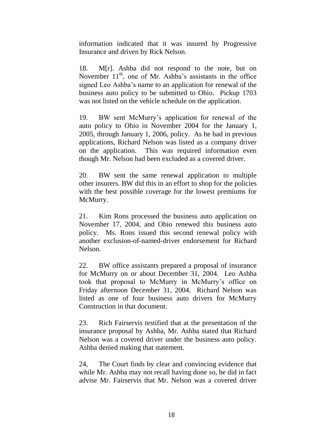information indicated that it was insured by Progressive Insurance and driven by Rick Nelson.

18. M[r]. Ashba did not respond to the note, but on November  $11<sup>th</sup>$ , one of Mr. Ashba's assistants in the office signed Leo Ashba's name to an application for renewal of the business auto policy to be submitted to Ohio. Pickup 1703 was not listed on the vehicle schedule on the application.

19. BW sent McMurry's application for renewal of the auto policy to Ohio in November 2004 for the January 1, 2005, through January 1, 2006, policy. As he had in previous applications, Richard Nelson was listed as a company driver on the application. This was required information even though Mr. Nelson had been excluded as a covered driver.

20. BW sent the same renewal application to multiple other insurers. BW did this in an effort to shop for the policies with the best possible coverage for the lowest premiums for McMurry.

21. Kim Rons processed the business auto application on November 17, 2004, and Ohio renewed this business auto policy. Ms. Rons issued this second renewal policy with another exclusion-of-named-driver endorsement for Richard Nelson.

22. BW office assistants prepared a proposal of insurance for McMurry on or about December 31, 2004. Leo Ashba took that proposal to McMurry in McMurry's office on Friday afternoon December 31, 2004. Richard Nelson was listed as one of four business auto drivers for McMurry Construction in that document.

23. Rich Fairservis testified that at the presentation of the insurance proposal by Ashba, Mr. Ashba stated that Richard Nelson was a covered driver under the business auto policy. Ashba denied making that statement.

24, The Court finds by clear and convincing evidence that while Mr. Ashba may not recall having done so, he did in fact advise Mr. Fairservis that Mr. Nelson was a covered driver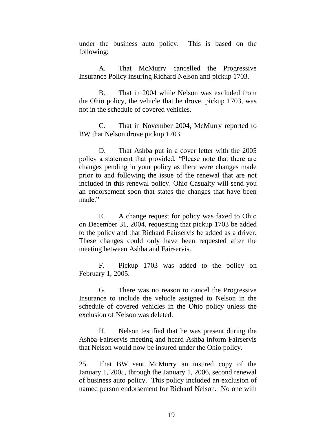under the business auto policy. This is based on the following:

A. That McMurry cancelled the Progressive Insurance Policy insuring Richard Nelson and pickup 1703.

B. That in 2004 while Nelson was excluded from the Ohio policy, the vehicle that he drove, pickup 1703, was not in the schedule of covered vehicles.

C. That in November 2004, McMurry reported to BW that Nelson drove pickup 1703.

D. That Ashba put in a cover letter with the 2005 policy a statement that provided, "Please note that there are changes pending in your policy as there were changes made prior to and following the issue of the renewal that are not included in this renewal policy. Ohio Casualty will send you an endorsement soon that states the changes that have been made."

E. A change request for policy was faxed to Ohio on December 31, 2004, requesting that pickup 1703 be added to the policy and that Richard Fairservis be added as a driver. These changes could only have been requested after the meeting between Ashba and Fairservis.

F. Pickup 1703 was added to the policy on February 1, 2005.

G. There was no reason to cancel the Progressive Insurance to include the vehicle assigned to Nelson in the schedule of covered vehicles in the Ohio policy unless the exclusion of Nelson was deleted.

H. Nelson testified that he was present during the Ashba-Fairservis meeting and heard Ashba inform Fairservis that Nelson would now be insured under the Ohio policy.

25. That BW sent McMurry an insured copy of the January 1, 2005, through the January 1, 2006, second renewal of business auto policy. This policy included an exclusion of named person endorsement for Richard Nelson. No one with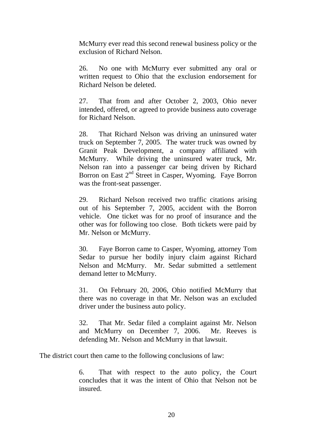McMurry ever read this second renewal business policy or the exclusion of Richard Nelson.

26. No one with McMurry ever submitted any oral or written request to Ohio that the exclusion endorsement for Richard Nelson be deleted.

27. That from and after October 2, 2003, Ohio never intended, offered, or agreed to provide business auto coverage for Richard Nelson.

28. That Richard Nelson was driving an uninsured water truck on September 7, 2005. The water truck was owned by Granit Peak Development, a company affiliated with McMurry. While driving the uninsured water truck, Mr. Nelson ran into a passenger car being driven by Richard Borron on East 2<sup>nd</sup> Street in Casper, Wyoming. Faye Borron was the front-seat passenger.

29. Richard Nelson received two traffic citations arising out of his September 7, 2005, accident with the Borron vehicle. One ticket was for no proof of insurance and the other was for following too close. Both tickets were paid by Mr. Nelson or McMurry.

30. Faye Borron came to Casper, Wyoming, attorney Tom Sedar to pursue her bodily injury claim against Richard Nelson and McMurry. Mr. Sedar submitted a settlement demand letter to McMurry.

31. On February 20, 2006, Ohio notified McMurry that there was no coverage in that Mr. Nelson was an excluded driver under the business auto policy.

32. That Mr. Sedar filed a complaint against Mr. Nelson and McMurry on December 7, 2006. Mr. Reeves is defending Mr. Nelson and McMurry in that lawsuit.

The district court then came to the following conclusions of law:

6. That with respect to the auto policy, the Court concludes that it was the intent of Ohio that Nelson not be insured.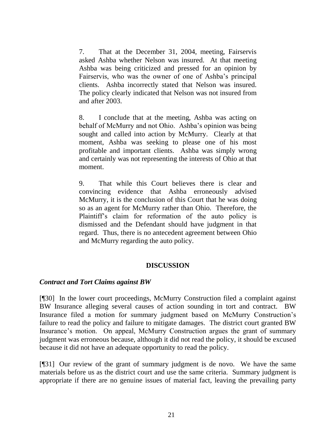7. That at the December 31, 2004, meeting, Fairservis asked Ashba whether Nelson was insured. At that meeting Ashba was being criticized and pressed for an opinion by Fairservis, who was the owner of one of Ashba's principal clients. Ashba incorrectly stated that Nelson was insured. The policy clearly indicated that Nelson was not insured from and after 2003.

8. I conclude that at the meeting, Ashba was acting on behalf of McMurry and not Ohio. Ashba's opinion was being sought and called into action by McMurry. Clearly at that moment, Ashba was seeking to please one of his most profitable and important clients. Ashba was simply wrong and certainly was not representing the interests of Ohio at that moment.

9. That while this Court believes there is clear and convincing evidence that Ashba erroneously advised McMurry, it is the conclusion of this Court that he was doing so as an agent for McMurry rather than Ohio. Therefore, the Plaintiff's claim for reformation of the auto policy is dismissed and the Defendant should have judgment in that regard. Thus, there is no antecedent agreement between Ohio and McMurry regarding the auto policy.

# **DISCUSSION**

#### *Contract and Tort Claims against BW*

[¶30] In the lower court proceedings, McMurry Construction filed a complaint against BW Insurance alleging several causes of action sounding in tort and contract. BW Insurance filed a motion for summary judgment based on McMurry Construction's failure to read the policy and failure to mitigate damages. The district court granted BW Insurance's motion. On appeal, McMurry Construction argues the grant of summary judgment was erroneous because, although it did not read the policy, it should be excused because it did not have an adequate opportunity to read the policy.

[¶31] Our review of the grant of summary judgment is de novo. We have the same materials before us as the district court and use the same criteria. Summary judgment is appropriate if there are no genuine issues of material fact, leaving the prevailing party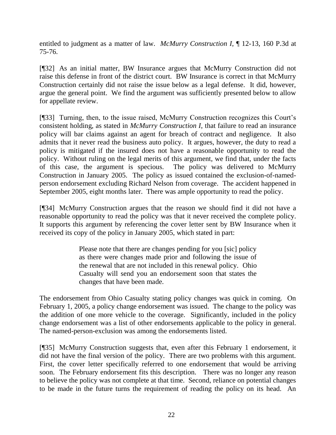entitled to judgment as a matter of law. *McMurry Construction I*, ¶ 12-13, 160 P.3d at 75-76.

[¶32] As an initial matter, BW Insurance argues that McMurry Construction did not raise this defense in front of the district court. BW Insurance is correct in that McMurry Construction certainly did not raise the issue below as a legal defense. It did, however, argue the general point. We find the argument was sufficiently presented below to allow for appellate review.

[¶33] Turning, then, to the issue raised, McMurry Construction recognizes this Court's consistent holding, as stated in *McMurry Construction I*, that failure to read an insurance policy will bar claims against an agent for breach of contract and negligence. It also admits that it never read the business auto policy. It argues, however, the duty to read a policy is mitigated if the insured does not have a reasonable opportunity to read the policy. Without ruling on the legal merits of this argument, we find that, under the facts of this case, the argument is specious. The policy was delivered to McMurry Construction in January 2005. The policy as issued contained the exclusion-of-namedperson endorsement excluding Richard Nelson from coverage. The accident happened in September 2005, eight months later. There was ample opportunity to read the policy.

[¶34] McMurry Construction argues that the reason we should find it did not have a reasonable opportunity to read the policy was that it never received the complete policy. It supports this argument by referencing the cover letter sent by BW Insurance when it received its copy of the policy in January 2005, which stated in part:

> Please note that there are changes pending for you [sic] policy as there were changes made prior and following the issue of the renewal that are not included in this renewal policy. Ohio Casualty will send you an endorsement soon that states the changes that have been made.

The endorsement from Ohio Casualty stating policy changes was quick in coming. On February 1, 2005, a policy change endorsement was issued. The change to the policy was the addition of one more vehicle to the coverage. Significantly, included in the policy change endorsement was a list of other endorsements applicable to the policy in general. The named-person-exclusion was among the endorsements listed.

[¶35] McMurry Construction suggests that, even after this February 1 endorsement, it did not have the final version of the policy. There are two problems with this argument. First, the cover letter specifically referred to one endorsement that would be arriving soon. The February endorsement fits this description. There was no longer any reason to believe the policy was not complete at that time. Second, reliance on potential changes to be made in the future turns the requirement of reading the policy on its head. An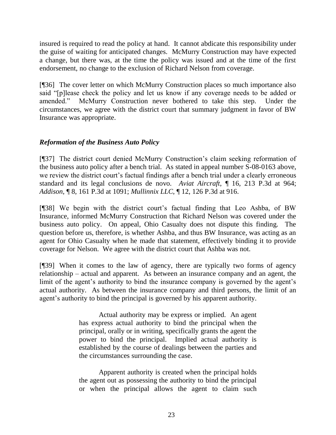insured is required to read the policy at hand. It cannot abdicate this responsibility under the guise of waiting for anticipated changes. McMurry Construction may have expected a change, but there was, at the time the policy was issued and at the time of the first endorsement, no change to the exclusion of Richard Nelson from coverage.

[¶36] The cover letter on which McMurry Construction places so much importance also said "[p]lease check the policy and let us know if any coverage needs to be added or amended." McMurry Construction never bothered to take this step. Under the circumstances, we agree with the district court that summary judgment in favor of BW Insurance was appropriate.

# *Reformation of the Business Auto Policy*

[¶37] The district court denied McMurry Construction's claim seeking reformation of the business auto policy after a bench trial. As stated in appeal number S-08-0163 above, we review the district court's factual findings after a bench trial under a clearly erroneous standard and its legal conclusions de novo. *Aviat Aircraft*, ¶ 16, 213 P.3d at 964; *Addison*, ¶ 8, 161 P.3d at 1091; *Mullinnix LLC*, ¶ 12, 126 P.3d at 916.

[¶38] We begin with the district court's factual finding that Leo Ashba, of BW Insurance, informed McMurry Construction that Richard Nelson was covered under the business auto policy. On appeal, Ohio Casualty does not dispute this finding. The question before us, therefore, is whether Ashba, and thus BW Insurance, was acting as an agent for Ohio Casualty when he made that statement, effectively binding it to provide coverage for Nelson. We agree with the district court that Ashba was not.

[¶39] When it comes to the law of agency, there are typically two forms of agency relationship – actual and apparent. As between an insurance company and an agent, the limit of the agent's authority to bind the insurance company is governed by the agent's actual authority. As between the insurance company and third persons, the limit of an agent's authority to bind the principal is governed by his apparent authority.

> Actual authority may be express or implied. An agent has express actual authority to bind the principal when the principal, orally or in writing, specifically grants the agent the power to bind the principal. Implied actual authority is established by the course of dealings between the parties and the circumstances surrounding the case.

> Apparent authority is created when the principal holds the agent out as possessing the authority to bind the principal or when the principal allows the agent to claim such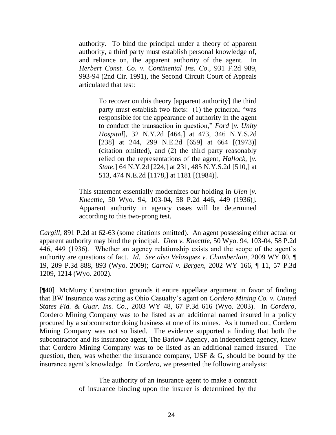authority. To bind the principal under a theory of apparent authority, a third party must establish personal knowledge of, and reliance on, the apparent authority of the agent. In *Herbert Const. Co. v. Continental Ins. Co*., 931 F.2d 989, 993-94 (2nd Cir. 1991), the Second Circuit Court of Appeals articulated that test:

> To recover on this theory [apparent authority] the third party must establish two facts: (1) the principal "was responsible for the appearance of authority in the agent to conduct the transaction in question," *Ford* [*v. Unity Hospital*], 32 N.Y.2d [464,] at 473, 346 N.Y.S.2d [238] at 244, 299 N.E.2d [659] at 664 [(1973)] (citation omitted), and (2) the third party reasonably relied on the representations of the agent, *Hallock,* [*v. State*,] 64 N.Y.2d [224,] at 231, 485 N.Y.S.2d [510,] at 513, 474 N.E.2d [1178,] at 1181 [(1984)].

This statement essentially modernizes our holding in *Ulen* [*v. Knecttle*, 50 Wyo. 94, 103-04, 58 P.2d 446, 449 (1936)]. Apparent authority in agency cases will be determined according to this two-prong test.

*Cargill*, 891 P.2d at 62-63 (some citations omitted). An agent possessing either actual or apparent authority may bind the principal. *Ulen v. Knecttle*, 50 Wyo. 94, 103-04, 58 P.2d 446, 449 (1936). Whether an agency relationship exists and the scope of the agent's authority are questions of fact. *Id*. *See also Velasquez v. Chamberlain*, 2009 WY 80, ¶ 19, 209 P.3d 888, 893 (Wyo. 2009); *Carroll v. Bergen*, 2002 WY 166, ¶ 11, 57 P.3d 1209, 1214 (Wyo. 2002).

[¶40] McMurry Construction grounds it entire appellate argument in favor of finding that BW Insurance was acting as Ohio Casualty's agent on *Cordero Mining Co. v. United States Fid. & Guar. Ins. Co.*, 2003 WY 48, 67 P.3d 616 (Wyo. 2003). In *Cordero*, Cordero Mining Company was to be listed as an additional named insured in a policy procured by a subcontractor doing business at one of its mines. As it turned out, Cordero Mining Company was not so listed. The evidence supported a finding that both the subcontractor and its insurance agent, The Barlow Agency, an independent agency, knew that Cordero Mining Company was to be listed as an additional named insured. The question, then, was whether the insurance company, USF  $\&$  G, should be bound by the insurance agent's knowledge. In *Cordero*, we presented the following analysis:

> The authority of an insurance agent to make a contract of insurance binding upon the insurer is determined by the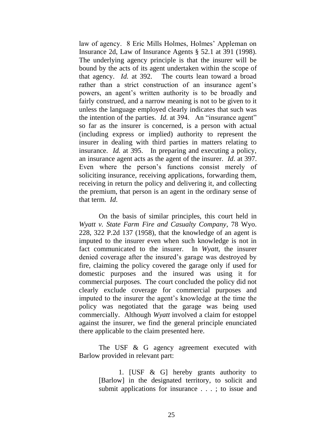law of agency. 8 Eric Mills Holmes, Holmes' Appleman on Insurance 2d, Law of Insurance Agents § 52.1 at 391 (1998). The underlying agency principle is that the insurer will be bound by the acts of its agent undertaken within the scope of that agency. *Id.* at 392. The courts lean toward a broad rather than a strict construction of an insurance agent's powers, an agent's written authority is to be broadly and fairly construed, and a narrow meaning is not to be given to it unless the language employed clearly indicates that such was the intention of the parties. *Id*. at 394. An "insurance agent" so far as the insurer is concerned, is a person with actual (including express or implied) authority to represent the insurer in dealing with third parties in matters relating to insurance. *Id.* at 395. In preparing and executing a policy, an insurance agent acts as the agent of the insurer. *Id*. at 397. Even where the person's functions consist merely of soliciting insurance, receiving applications, forwarding them, receiving in return the policy and delivering it, and collecting the premium, that person is an agent in the ordinary sense of that term. *Id*.

On the basis of similar principles, this court held in *Wyatt v. State Farm Fire and Casualty Company*, 78 Wyo. 228, 322 P.2d 137 (1958), that the knowledge of an agent is imputed to the insurer even when such knowledge is not in fact communicated to the insurer. In *Wyatt*, the insurer denied coverage after the insured's garage was destroyed by fire, claiming the policy covered the garage only if used for domestic purposes and the insured was using it for commercial purposes. The court concluded the policy did not clearly exclude coverage for commercial purposes and imputed to the insurer the agent's knowledge at the time the policy was negotiated that the garage was being used commercially. Although *Wyatt* involved a claim for estoppel against the insurer, we find the general principle enunciated there applicable to the claim presented here.

The USF & G agency agreement executed with Barlow provided in relevant part:

> 1. [USF & G] hereby grants authority to [Barlow] in the designated territory, to solicit and submit applications for insurance . . . ; to issue and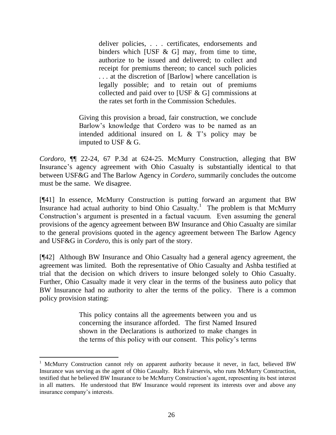deliver policies, . . . certificates, endorsements and binders which [USF  $\&$  G] may, from time to time, authorize to be issued and delivered; to collect and receipt for premiums thereon; to cancel such policies . . . at the discretion of [Barlow] where cancellation is legally possible; and to retain out of premiums collected and paid over to [USF & G] commissions at the rates set forth in the Commission Schedules.

Giving this provision a broad, fair construction, we conclude Barlow's knowledge that Cordero was to be named as an intended additional insured on L & T's policy may be imputed to USF & G.

*Cordoro,* ¶¶ 22-24, 67 P.3d at 624-25. McMurry Construction, alleging that BW Insurance's agency agreement with Ohio Casualty is substantially identical to that between USF&G and The Barlow Agency in *Cordero*, summarily concludes the outcome must be the same. We disagree.

[¶41] In essence, McMurry Construction is putting forward an argument that BW Insurance had actual authority to bind Ohio Casualty.<sup>1</sup> The problem is that McMurry Construction's argument is presented in a factual vacuum. Even assuming the general provisions of the agency agreement between BW Insurance and Ohio Casualty are similar to the general provisions quoted in the agency agreement between The Barlow Agency and USF&G in *Cordero*, this is only part of the story.

[¶42] Although BW Insurance and Ohio Casualty had a general agency agreement, the agreement was limited. Both the representative of Ohio Casualty and Ashba testified at trial that the decision on which drivers to insure belonged solely to Ohio Casualty. Further, Ohio Casualty made it very clear in the terms of the business auto policy that BW Insurance had no authority to alter the terms of the policy. There is a common policy provision stating:

> This policy contains all the agreements between you and us concerning the insurance afforded. The first Named Insured shown in the Declarations is authorized to make changes in the terms of this policy with our consent. This policy's terms

 $\overline{a}$ 

<sup>&</sup>lt;sup>1</sup> McMurry Construction cannot rely on apparent authority because it never, in fact, believed BW Insurance was serving as the agent of Ohio Casualty. Rich Fairservis, who runs McMurry Construction, testified that he believed BW Insurance to be McMurry Construction's agent, representing its best interest in all matters. He understood that BW Insurance would represent its interests over and above any insurance company's interests.